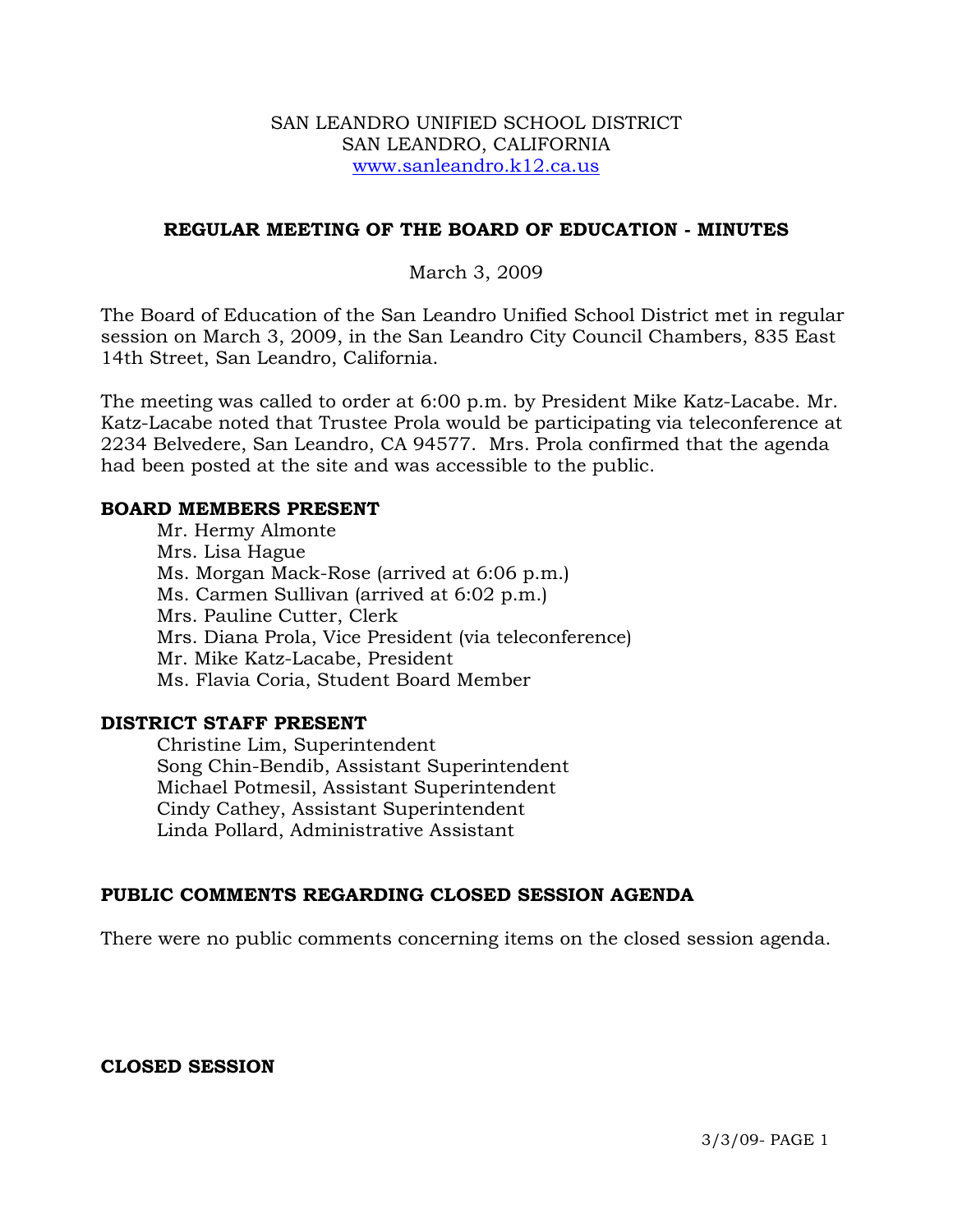#### SAN LEANDRO UNIFIED SCHOOL DISTRICT SAN LEANDRO, CALIFORNIA www.sanleandro.k12.ca.us

### **REGULAR MEETING OF THE BOARD OF EDUCATION - MINUTES**

### March 3, 2009

The Board of Education of the San Leandro Unified School District met in regular session on March 3, 2009, in the San Leandro City Council Chambers, 835 East 14th Street, San Leandro, California.

The meeting was called to order at 6:00 p.m. by President Mike Katz-Lacabe. Mr. Katz-Lacabe noted that Trustee Prola would be participating via teleconference at 2234 Belvedere, San Leandro, CA 94577. Mrs. Prola confirmed that the agenda had been posted at the site and was accessible to the public.

### **BOARD MEMBERS PRESENT**

Mr. Hermy Almonte Mrs. Lisa Hague Ms. Morgan Mack-Rose (arrived at 6:06 p.m.) Ms. Carmen Sullivan (arrived at 6:02 p.m.) Mrs. Pauline Cutter, Clerk Mrs. Diana Prola, Vice President (via teleconference) Mr. Mike Katz-Lacabe, President Ms. Flavia Coria, Student Board Member

### **DISTRICT STAFF PRESENT**

Christine Lim, Superintendent Song Chin-Bendib, Assistant Superintendent Michael Potmesil, Assistant Superintendent Cindy Cathey, Assistant Superintendent Linda Pollard, Administrative Assistant

## **PUBLIC COMMENTS REGARDING CLOSED SESSION AGENDA**

There were no public comments concerning items on the closed session agenda.

### **CLOSED SESSION**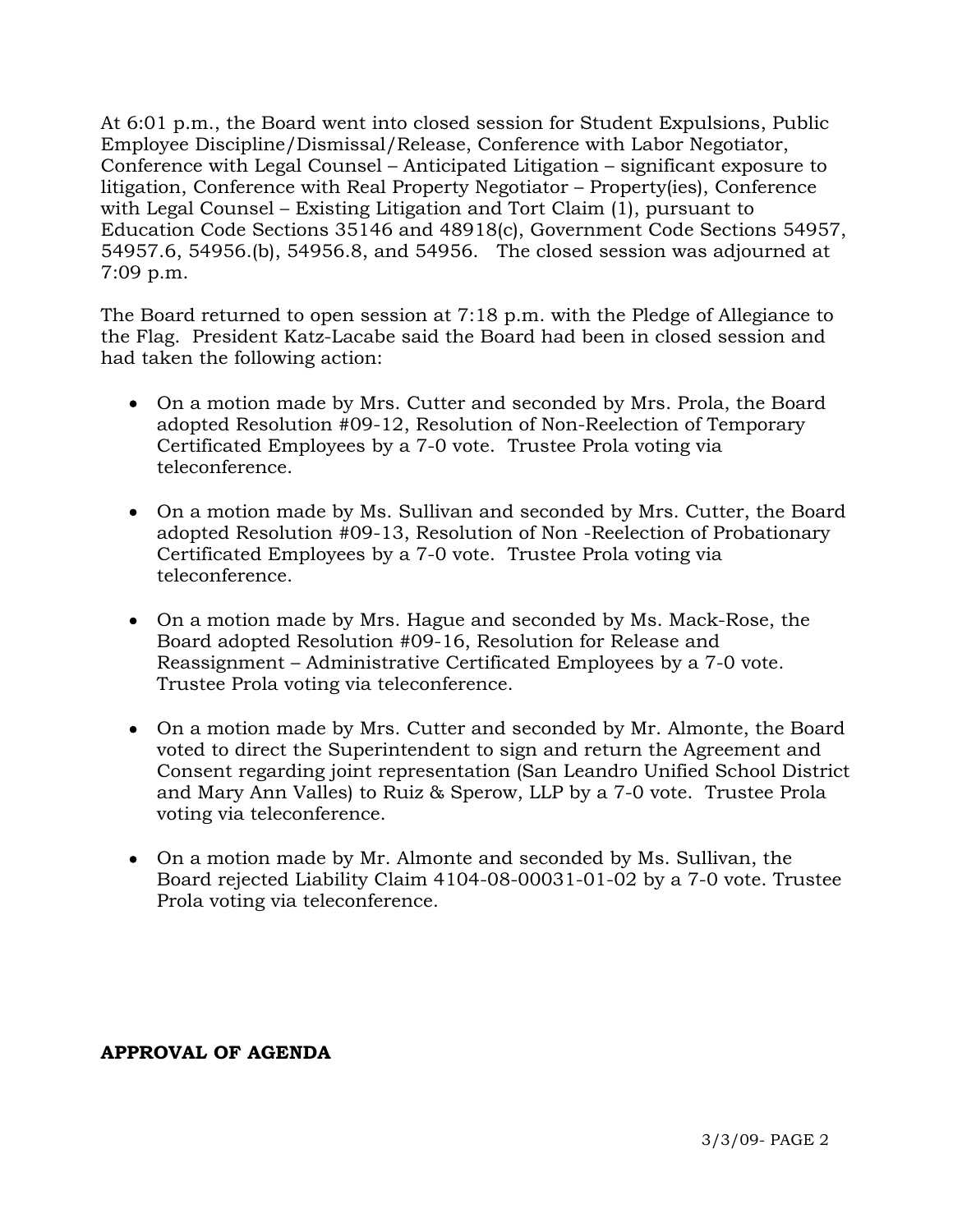At 6:01 p.m., the Board went into closed session for Student Expulsions, Public Employee Discipline/Dismissal/Release, Conference with Labor Negotiator, Conference with Legal Counsel – Anticipated Litigation – significant exposure to litigation, Conference with Real Property Negotiator – Property(ies), Conference with Legal Counsel – Existing Litigation and Tort Claim (1), pursuant to Education Code Sections 35146 and 48918(c), Government Code Sections 54957, 54957.6, 54956.(b), 54956.8, and 54956. The closed session was adjourned at 7:09 p.m.

The Board returned to open session at 7:18 p.m. with the Pledge of Allegiance to the Flag. President Katz-Lacabe said the Board had been in closed session and had taken the following action:

- On a motion made by Mrs. Cutter and seconded by Mrs. Prola, the Board adopted Resolution #09-12, Resolution of Non-Reelection of Temporary Certificated Employees by a 7-0 vote. Trustee Prola voting via teleconference.
- On a motion made by Ms. Sullivan and seconded by Mrs. Cutter, the Board adopted Resolution #09-13, Resolution of Non -Reelection of Probationary Certificated Employees by a 7-0 vote. Trustee Prola voting via teleconference.
- On a motion made by Mrs. Hague and seconded by Ms. Mack-Rose, the Board adopted Resolution #09-16, Resolution for Release and Reassignment – Administrative Certificated Employees by a 7-0 vote. Trustee Prola voting via teleconference.
- On a motion made by Mrs. Cutter and seconded by Mr. Almonte, the Board voted to direct the Superintendent to sign and return the Agreement and Consent regarding joint representation (San Leandro Unified School District and Mary Ann Valles) to Ruiz & Sperow, LLP by a 7-0 vote. Trustee Prola voting via teleconference.
- On a motion made by Mr. Almonte and seconded by Ms. Sullivan, the Board rejected Liability Claim 4104-08-00031-01-02 by a 7-0 vote. Trustee Prola voting via teleconference.

### **APPROVAL OF AGENDA**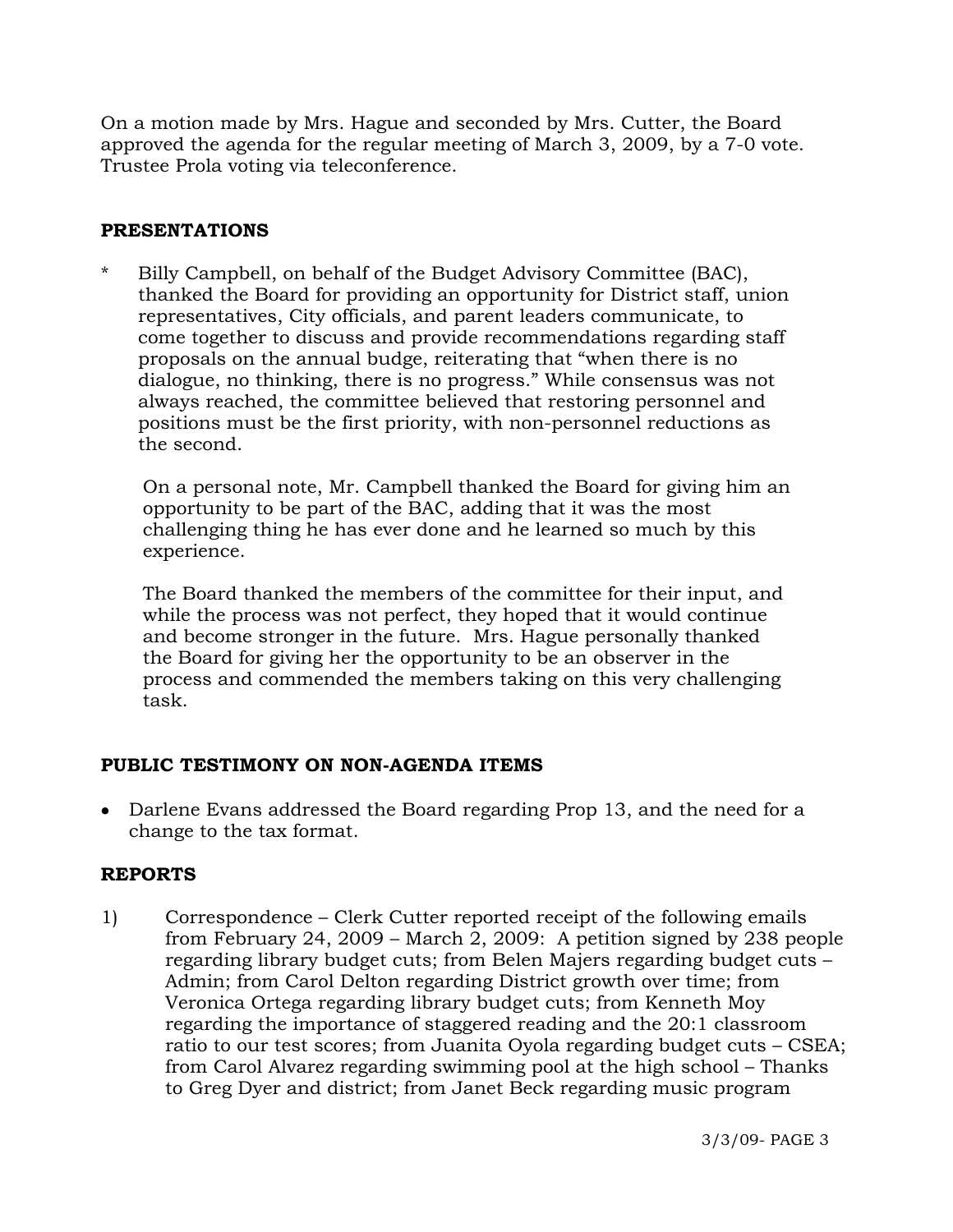On a motion made by Mrs. Hague and seconded by Mrs. Cutter, the Board approved the agenda for the regular meeting of March 3, 2009, by a 7-0 vote. Trustee Prola voting via teleconference.

## **PRESENTATIONS**

\* Billy Campbell, on behalf of the Budget Advisory Committee (BAC), thanked the Board for providing an opportunity for District staff, union representatives, City officials, and parent leaders communicate, to come together to discuss and provide recommendations regarding staff proposals on the annual budge, reiterating that "when there is no dialogue, no thinking, there is no progress." While consensus was not always reached, the committee believed that restoring personnel and positions must be the first priority, with non-personnel reductions as the second.

 On a personal note, Mr. Campbell thanked the Board for giving him an opportunity to be part of the BAC, adding that it was the most challenging thing he has ever done and he learned so much by this experience.

 The Board thanked the members of the committee for their input, and while the process was not perfect, they hoped that it would continue and become stronger in the future. Mrs. Hague personally thanked the Board for giving her the opportunity to be an observer in the process and commended the members taking on this very challenging task.

## **PUBLIC TESTIMONY ON NON-AGENDA ITEMS**

• Darlene Evans addressed the Board regarding Prop 13, and the need for a change to the tax format.

## **REPORTS**

1) Correspondence – Clerk Cutter reported receipt of the following emails from February 24, 2009 – March 2, 2009: A petition signed by 238 people regarding library budget cuts; from Belen Majers regarding budget cuts – Admin; from Carol Delton regarding District growth over time; from Veronica Ortega regarding library budget cuts; from Kenneth Moy regarding the importance of staggered reading and the 20:1 classroom ratio to our test scores; from Juanita Oyola regarding budget cuts – CSEA; from Carol Alvarez regarding swimming pool at the high school – Thanks to Greg Dyer and district; from Janet Beck regarding music program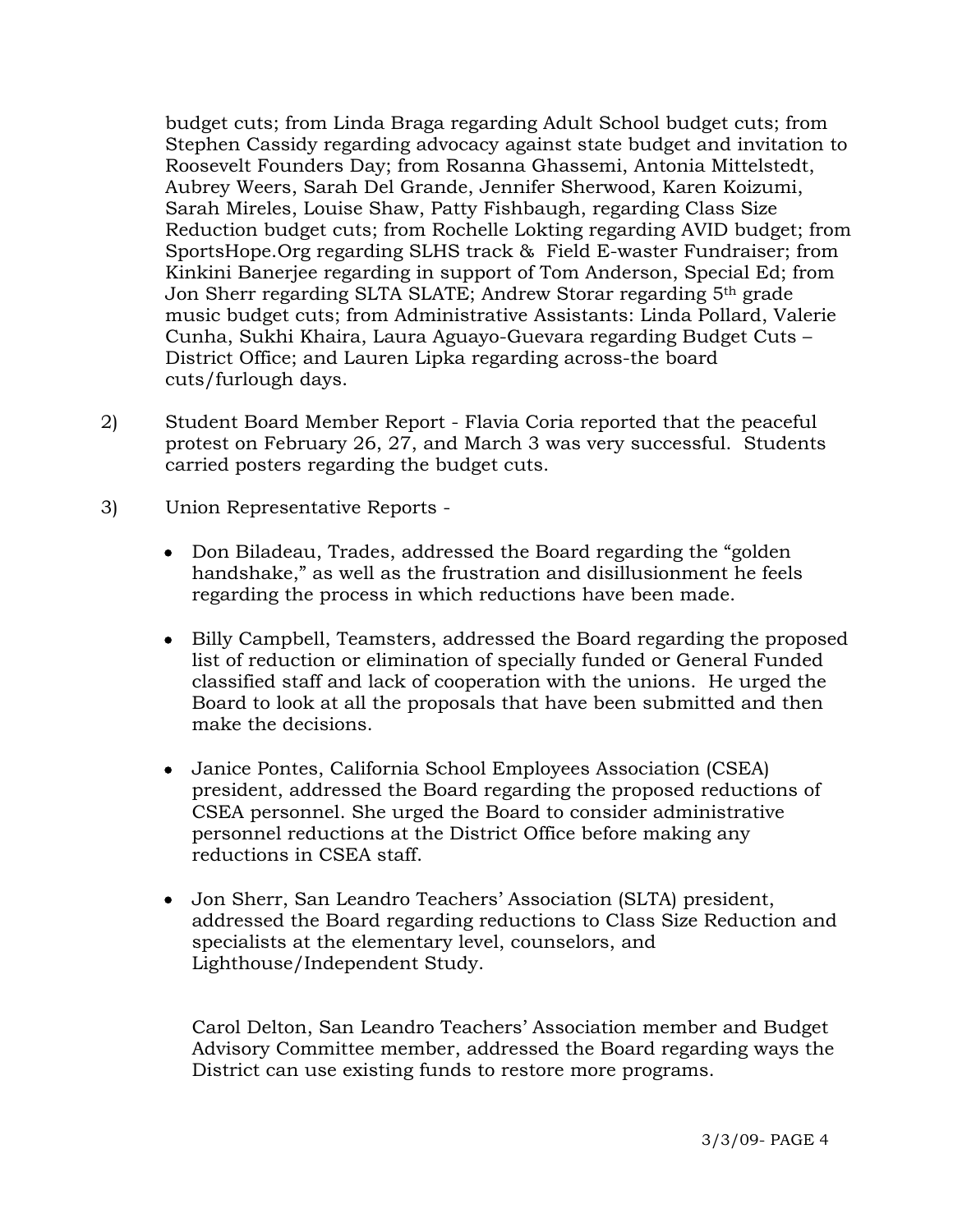budget cuts; from Linda Braga regarding Adult School budget cuts; from Stephen Cassidy regarding advocacy against state budget and invitation to Roosevelt Founders Day; from Rosanna Ghassemi, Antonia Mittelstedt, Aubrey Weers, Sarah Del Grande, Jennifer Sherwood, Karen Koizumi, Sarah Mireles, Louise Shaw, Patty Fishbaugh, regarding Class Size Reduction budget cuts; from Rochelle Lokting regarding AVID budget; from SportsHope.Org regarding SLHS track & Field E-waster Fundraiser; from Kinkini Banerjee regarding in support of Tom Anderson, Special Ed; from Jon Sherr regarding SLTA SLATE; Andrew Storar regarding 5th grade music budget cuts; from Administrative Assistants: Linda Pollard, Valerie Cunha, Sukhi Khaira, Laura Aguayo-Guevara regarding Budget Cuts – District Office; and Lauren Lipka regarding across-the board cuts/furlough days.

- 2) Student Board Member Report Flavia Coria reported that the peaceful protest on February 26, 27, and March 3 was very successful. Students carried posters regarding the budget cuts.
- 3) Union Representative Reports
	- Don Biladeau, Trades, addressed the Board regarding the "golden handshake," as well as the frustration and disillusionment he feels regarding the process in which reductions have been made.
	- Billy Campbell, Teamsters, addressed the Board regarding the proposed list of reduction or elimination of specially funded or General Funded classified staff and lack of cooperation with the unions. He urged the Board to look at all the proposals that have been submitted and then make the decisions.
	- Janice Pontes, California School Employees Association (CSEA) president, addressed the Board regarding the proposed reductions of CSEA personnel. She urged the Board to consider administrative personnel reductions at the District Office before making any reductions in CSEA staff.
	- Jon Sherr, San Leandro Teachers' Association (SLTA) president, addressed the Board regarding reductions to Class Size Reduction and specialists at the elementary level, counselors, and Lighthouse/Independent Study.

Carol Delton, San Leandro Teachers' Association member and Budget Advisory Committee member, addressed the Board regarding ways the District can use existing funds to restore more programs.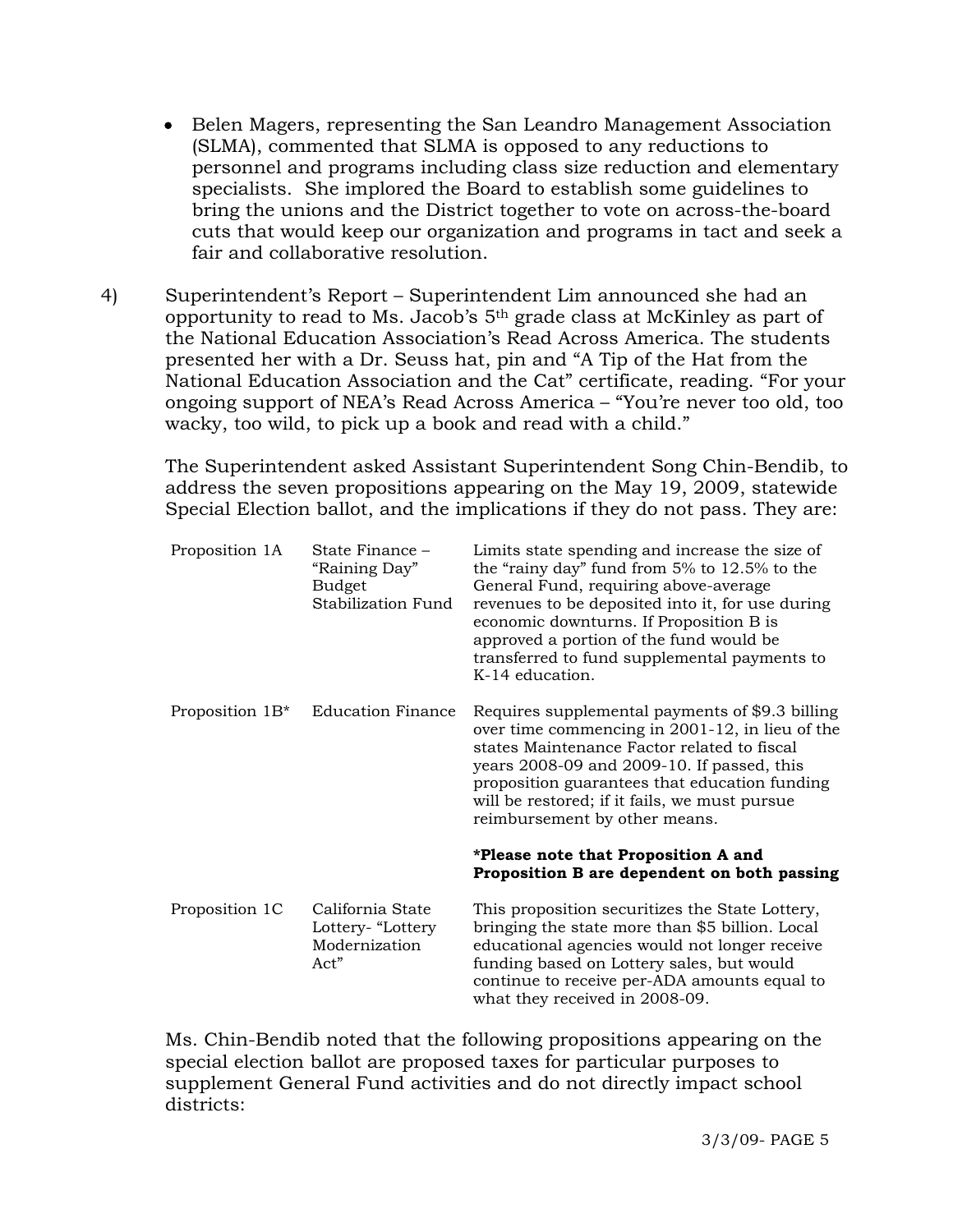- Belen Magers, representing the San Leandro Management Association (SLMA), commented that SLMA is opposed to any reductions to personnel and programs including class size reduction and elementary specialists. She implored the Board to establish some guidelines to bring the unions and the District together to vote on across-the-board cuts that would keep our organization and programs in tact and seek a fair and collaborative resolution.
- 4) Superintendent's Report Superintendent Lim announced she had an opportunity to read to Ms. Jacob's 5th grade class at McKinley as part of the National Education Association's Read Across America. The students presented her with a Dr. Seuss hat, pin and "A Tip of the Hat from the National Education Association and the Cat" certificate, reading. "For your ongoing support of NEA's Read Across America – "You're never too old, too wacky, too wild, to pick up a book and read with a child."

The Superintendent asked Assistant Superintendent Song Chin-Bendib, to address the seven propositions appearing on the May 19, 2009, statewide Special Election ballot, and the implications if they do not pass. They are:

| Proposition 1A  | State Finance –<br>"Raining Day"<br><b>Budget</b><br>Stabilization Fund | Limits state spending and increase the size of<br>the "rainy day" fund from $5\%$ to $12.5\%$ to the<br>General Fund, requiring above-average<br>revenues to be deposited into it, for use during<br>economic downturns. If Proposition B is<br>approved a portion of the fund would be<br>transferred to fund supplemental payments to<br>K-14 education. |
|-----------------|-------------------------------------------------------------------------|------------------------------------------------------------------------------------------------------------------------------------------------------------------------------------------------------------------------------------------------------------------------------------------------------------------------------------------------------------|
| Proposition 1B* | <b>Education Finance</b>                                                | Requires supplemental payments of \$9.3 billing<br>over time commencing in 2001-12, in lieu of the<br>states Maintenance Factor related to fiscal<br>years 2008-09 and 2009-10. If passed, this<br>proposition guarantees that education funding<br>will be restored; if it fails, we must pursue<br>reimbursement by other means.                         |
|                 |                                                                         | *Please note that Proposition A and<br>Proposition B are dependent on both passing                                                                                                                                                                                                                                                                         |
| Proposition 1C  | California State<br>Lottery- "Lottery<br>Modernization<br>Act"          | This proposition securitizes the State Lottery,<br>bringing the state more than \$5 billion. Local<br>educational agencies would not longer receive<br>funding based on Lottery sales, but would<br>continue to receive per-ADA amounts equal to<br>what they received in 2008-09.                                                                         |

Ms. Chin-Bendib noted that the following propositions appearing on the special election ballot are proposed taxes for particular purposes to supplement General Fund activities and do not directly impact school districts: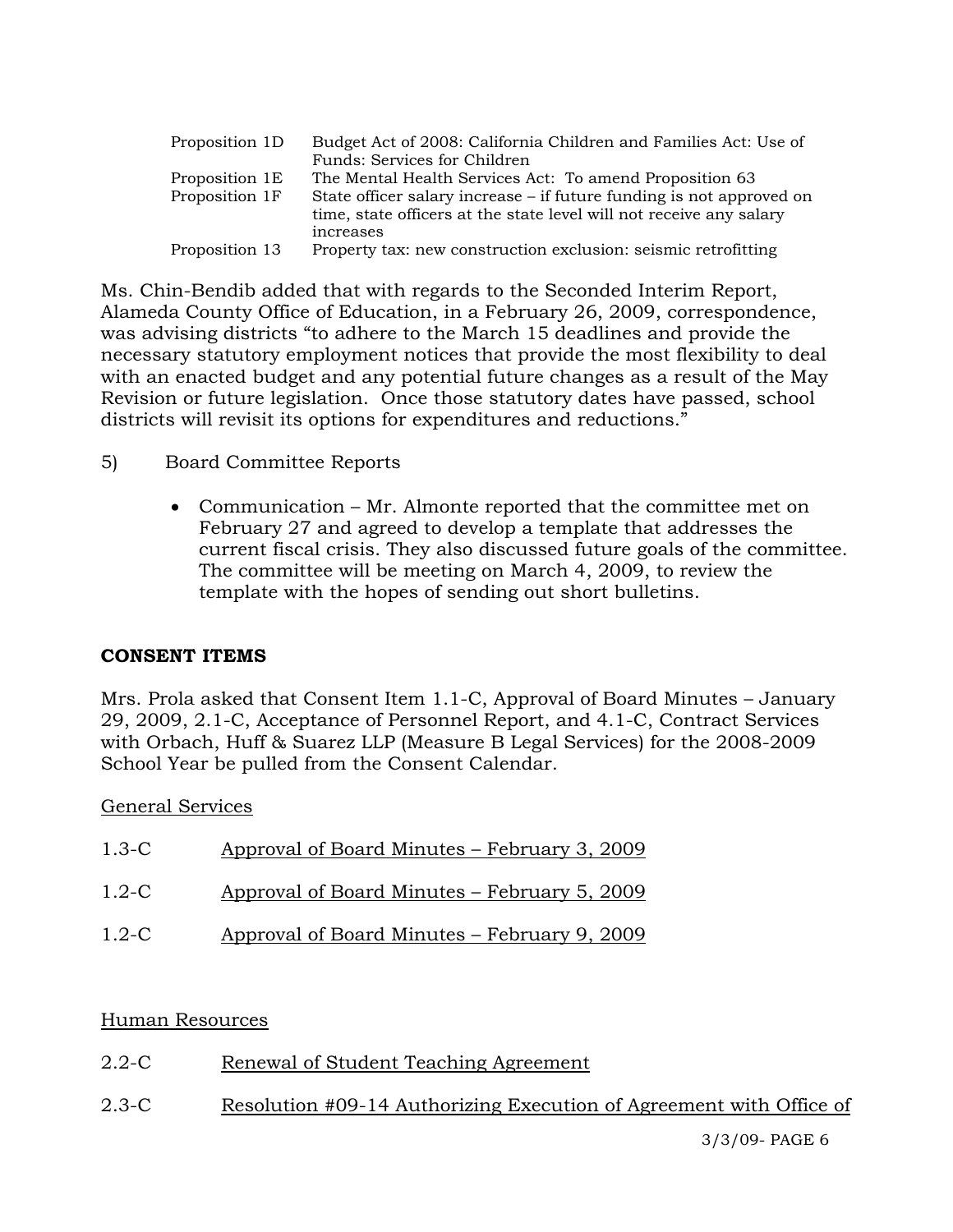| Proposition 1D | Budget Act of 2008: California Children and Families Act: Use of                                                                            |
|----------------|---------------------------------------------------------------------------------------------------------------------------------------------|
|                | Funds: Services for Children                                                                                                                |
| Proposition 1E | The Mental Health Services Act: To amend Proposition 63                                                                                     |
| Proposition 1F | State officer salary increase – if future funding is not approved on<br>time, state officers at the state level will not receive any salary |
|                | increases                                                                                                                                   |
| Proposition 13 | Property tax: new construction exclusion: seismic retrofitting                                                                              |

Ms. Chin-Bendib added that with regards to the Seconded Interim Report, Alameda County Office of Education, in a February 26, 2009, correspondence, was advising districts "to adhere to the March 15 deadlines and provide the necessary statutory employment notices that provide the most flexibility to deal with an enacted budget and any potential future changes as a result of the May Revision or future legislation. Once those statutory dates have passed, school districts will revisit its options for expenditures and reductions."

- 5) Board Committee Reports
	- Communication Mr. Almonte reported that the committee met on February 27 and agreed to develop a template that addresses the current fiscal crisis. They also discussed future goals of the committee. The committee will be meeting on March 4, 2009, to review the template with the hopes of sending out short bulletins.

## **CONSENT ITEMS**

Mrs. Prola asked that Consent Item 1.1-C, Approval of Board Minutes – January 29, 2009, 2.1-C, Acceptance of Personnel Report, and 4.1-C, Contract Services with Orbach, Huff & Suarez LLP (Measure B Legal Services) for the 2008-2009 School Year be pulled from the Consent Calendar.

General Services

| $1.3-C$   | Approval of Board Minutes – February 3, 2009 |
|-----------|----------------------------------------------|
| $1.2 - C$ | Approval of Board Minutes - February 5, 2009 |
| $1.2 - C$ | Approval of Board Minutes - February 9, 2009 |

## Human Resources

| $2.2 - C$ |  | Renewal of Student Teaching Agreement |
|-----------|--|---------------------------------------|
|           |  |                                       |

2.3-C Resolution #09-14 Authorizing Execution of Agreement with Office of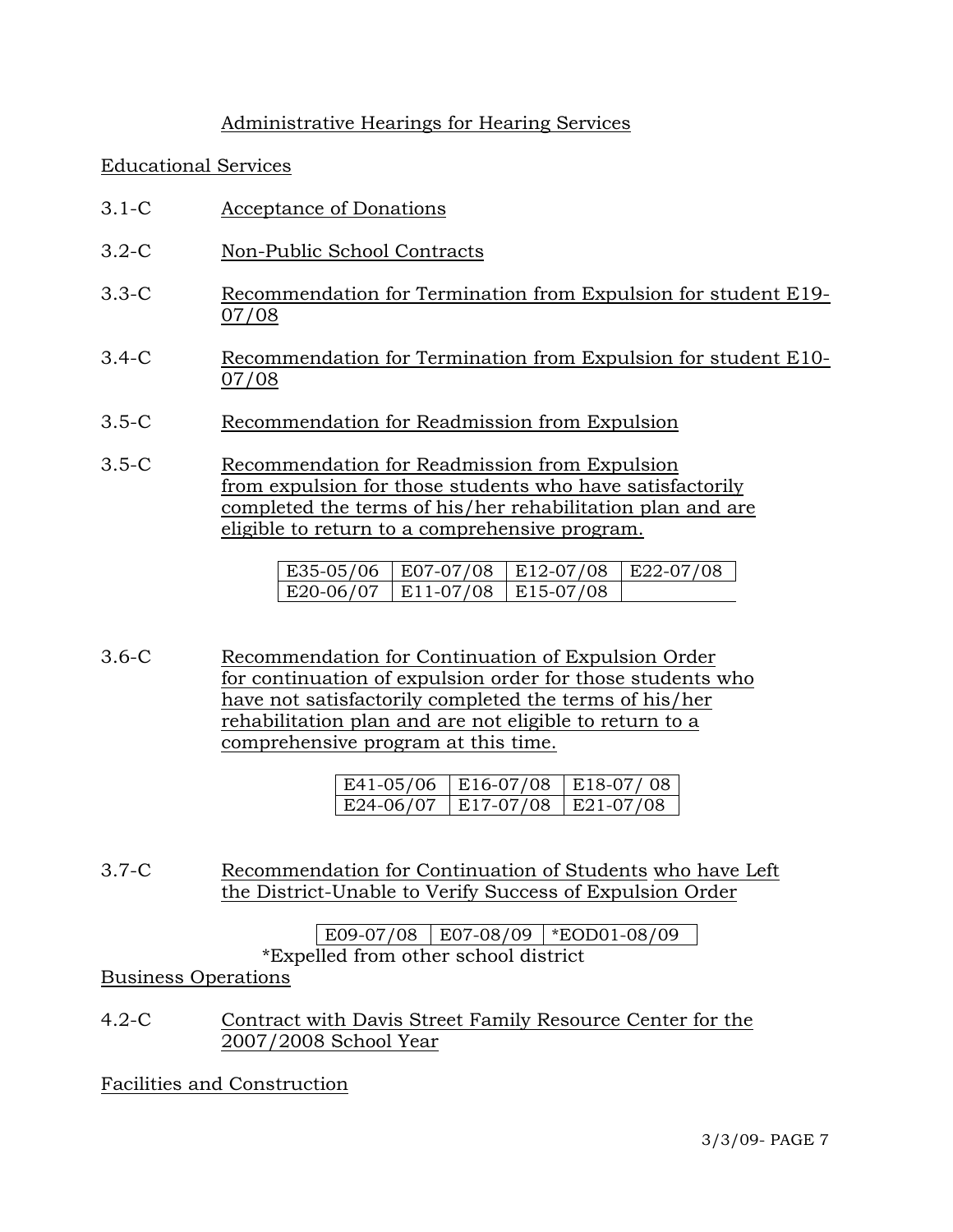# Administrative Hearings for Hearing Services

## Educational Services

- 3.1-C Acceptance of Donations
- 3.2-C Non-Public School Contracts
- 3.3-C Recommendation for Termination from Expulsion for student E19- 07/08
- 3.4-C Recommendation for Termination from Expulsion for student E10- 07/08
- 3.5-C Recommendation for Readmission from Expulsion
- 3.5-C Recommendation for Readmission from Expulsion from expulsion for those students who have satisfactorily completed the terms of his/her rehabilitation plan and are eligible to return to a comprehensive program.

| E35-05/06   E07-07/08   E12-07/08   E22-07/08 |  |
|-----------------------------------------------|--|
| E20-06/07   E11-07/08   E15-07/08             |  |

3.6-C Recommendation for Continuation of Expulsion Order for continuation of expulsion order for those students who have not satisfactorily completed the terms of his/her rehabilitation plan and are not eligible to return to a comprehensive program at this time.

|           | E41-05/06   E16-07/08   E18-07/08 |
|-----------|-----------------------------------|
| E24-06/07 | E17-07/08   E21-07/08             |

3.7-C Recommendation for Continuation of Students who have Left the District-Unable to Verify Success of Expulsion Order

> E09-07/08 E07-08/09 \*EOD01-08/09 \*Expelled from other school district

Business Operations

4.2-C Contract with Davis Street Family Resource Center for the 2007/2008 School Year

Facilities and Construction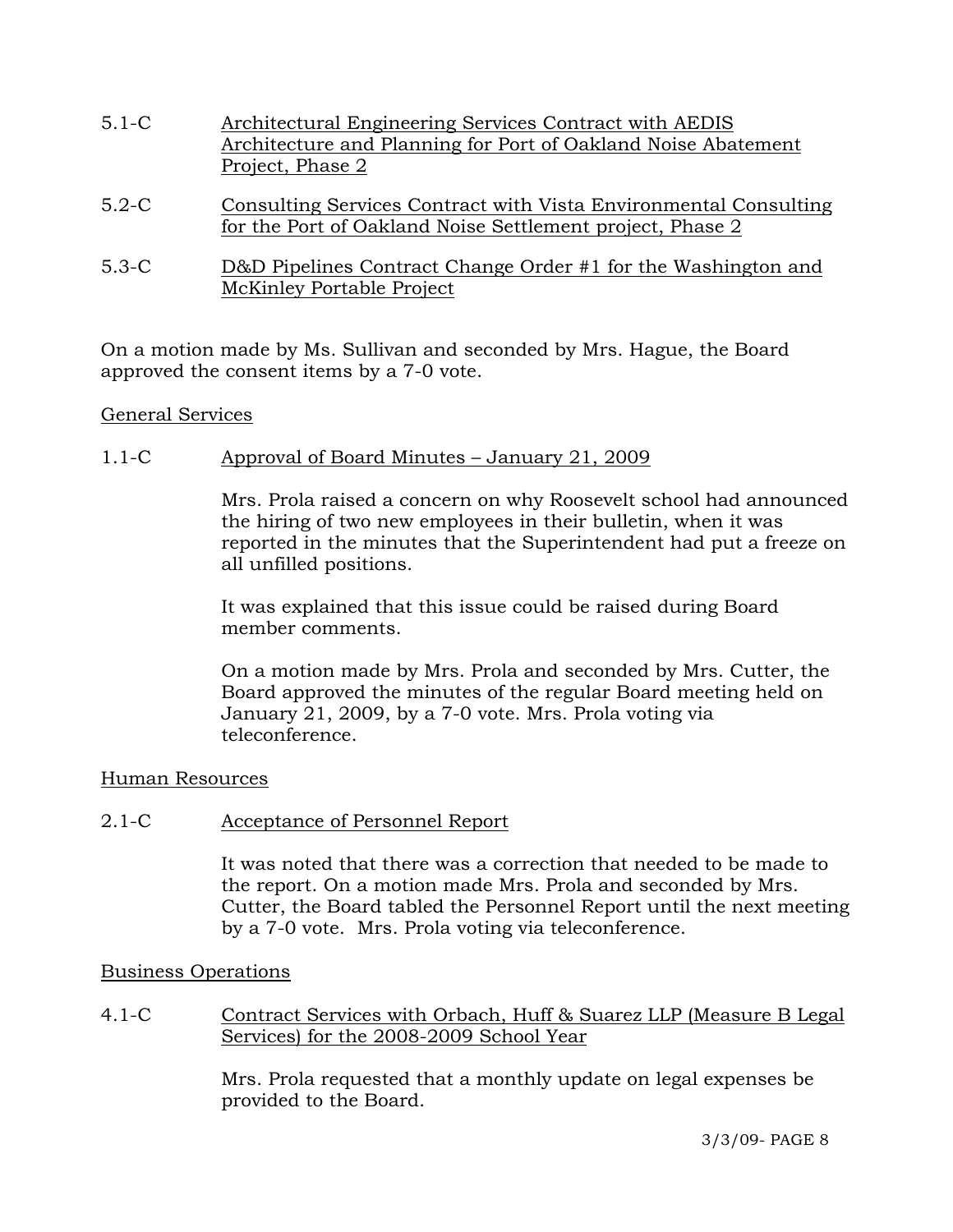| $5.1 - C$ | Architectural Engineering Services Contract with AEDIS        |
|-----------|---------------------------------------------------------------|
|           | Architecture and Planning for Port of Oakland Noise Abatement |
|           | Project, Phase 2                                              |

- 5.2-C Consulting Services Contract with Vista Environmental Consulting for the Port of Oakland Noise Settlement project, Phase 2
- 5.3-C D&D Pipelines Contract Change Order #1 for the Washington and McKinley Portable Project

On a motion made by Ms. Sullivan and seconded by Mrs. Hague, the Board approved the consent items by a 7-0 vote.

## General Services

# 1.1-C Approval of Board Minutes – January 21, 2009

Mrs. Prola raised a concern on why Roosevelt school had announced the hiring of two new employees in their bulletin, when it was reported in the minutes that the Superintendent had put a freeze on all unfilled positions.

It was explained that this issue could be raised during Board member comments.

On a motion made by Mrs. Prola and seconded by Mrs. Cutter, the Board approved the minutes of the regular Board meeting held on January 21, 2009, by a 7-0 vote. Mrs. Prola voting via teleconference.

## Human Resources

## 2.1-C Acceptance of Personnel Report

It was noted that there was a correction that needed to be made to the report. On a motion made Mrs. Prola and seconded by Mrs. Cutter, the Board tabled the Personnel Report until the next meeting by a 7-0 vote. Mrs. Prola voting via teleconference.

## Business Operations

4.1-C Contract Services with Orbach, Huff & Suarez LLP (Measure B Legal Services) for the 2008-2009 School Year

> Mrs. Prola requested that a monthly update on legal expenses be provided to the Board.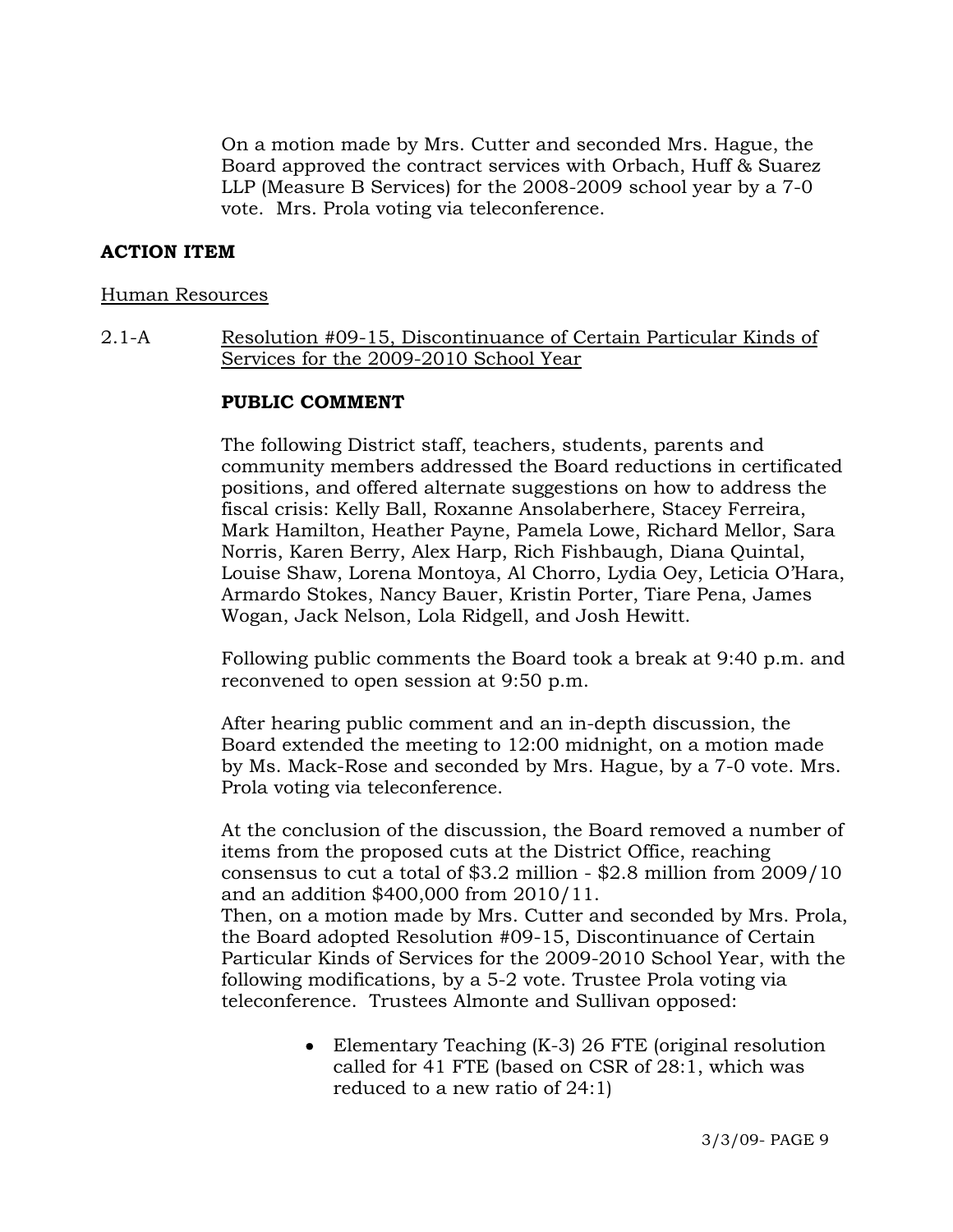On a motion made by Mrs. Cutter and seconded Mrs. Hague, the Board approved the contract services with Orbach, Huff & Suarez LLP (Measure B Services) for the 2008-2009 school year by a 7-0 vote. Mrs. Prola voting via teleconference.

### **ACTION ITEM**

#### Human Resources

2.1-A Resolution #09-15, Discontinuance of Certain Particular Kinds of Services for the 2009-2010 School Year

#### **PUBLIC COMMENT**

The following District staff, teachers, students, parents and community members addressed the Board reductions in certificated positions, and offered alternate suggestions on how to address the fiscal crisis: Kelly Ball, Roxanne Ansolaberhere, Stacey Ferreira, Mark Hamilton, Heather Payne, Pamela Lowe, Richard Mellor, Sara Norris, Karen Berry, Alex Harp, Rich Fishbaugh, Diana Quintal, Louise Shaw, Lorena Montoya, Al Chorro, Lydia Oey, Leticia O'Hara, Armardo Stokes, Nancy Bauer, Kristin Porter, Tiare Pena, James Wogan, Jack Nelson, Lola Ridgell, and Josh Hewitt.

Following public comments the Board took a break at 9:40 p.m. and reconvened to open session at 9:50 p.m.

After hearing public comment and an in-depth discussion, the Board extended the meeting to 12:00 midnight, on a motion made by Ms. Mack-Rose and seconded by Mrs. Hague, by a 7-0 vote. Mrs. Prola voting via teleconference.

At the conclusion of the discussion, the Board removed a number of items from the proposed cuts at the District Office, reaching consensus to cut a total of \$3.2 million - \$2.8 million from 2009/10 and an addition \$400,000 from 2010/11. Then, on a motion made by Mrs. Cutter and seconded by Mrs. Prola, the Board adopted Resolution #09-15, Discontinuance of Certain Particular Kinds of Services for the 2009-2010 School Year, with the following modifications, by a 5-2 vote. Trustee Prola voting via teleconference. Trustees Almonte and Sullivan opposed:

> • Elementary Teaching (K-3) 26 FTE (original resolution called for 41 FTE (based on CSR of 28:1, which was reduced to a new ratio of 24:1)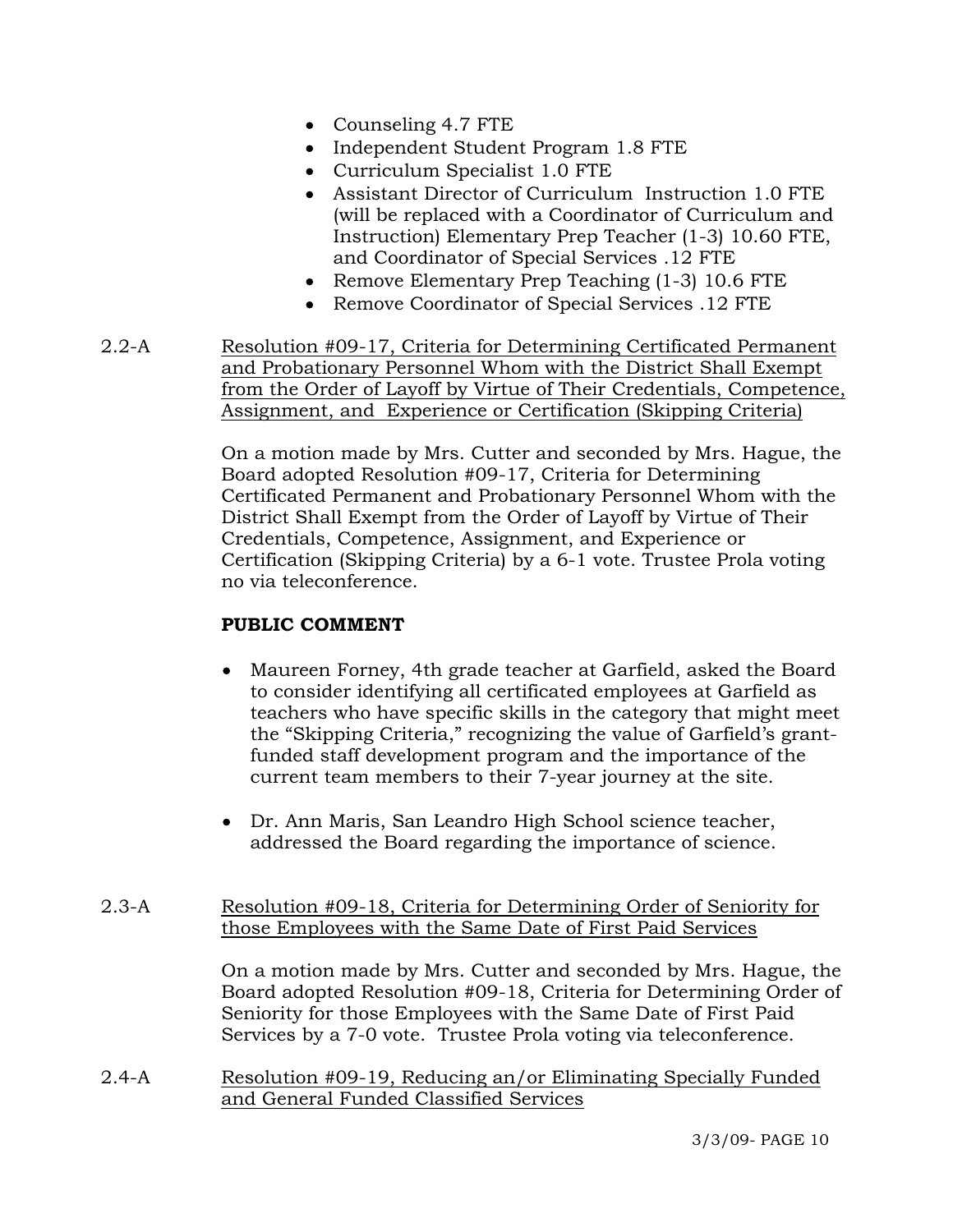- Counseling 4.7 FTE
- Independent Student Program 1.8 FTE
- Curriculum Specialist 1.0 FTE
- Assistant Director of Curriculum Instruction 1.0 FTE (will be replaced with a Coordinator of Curriculum and Instruction) Elementary Prep Teacher (1-3) 10.60 FTE, and Coordinator of Special Services .12 FTE
- Remove Elementary Prep Teaching (1-3) 10.6 FTE
- Remove Coordinator of Special Services .12 FTE
- 2.2-A Resolution #09-17, Criteria for Determining Certificated Permanent and Probationary Personnel Whom with the District Shall Exempt from the Order of Layoff by Virtue of Their Credentials, Competence, Assignment, and Experience or Certification (Skipping Criteria)

On a motion made by Mrs. Cutter and seconded by Mrs. Hague, the Board adopted Resolution #09-17, Criteria for Determining Certificated Permanent and Probationary Personnel Whom with the District Shall Exempt from the Order of Layoff by Virtue of Their Credentials, Competence, Assignment, and Experience or Certification (Skipping Criteria) by a 6-1 vote. Trustee Prola voting no via teleconference.

## **PUBLIC COMMENT**

- Maureen Forney, 4th grade teacher at Garfield, asked the Board to consider identifying all certificated employees at Garfield as teachers who have specific skills in the category that might meet the "Skipping Criteria," recognizing the value of Garfield's grantfunded staff development program and the importance of the current team members to their 7-year journey at the site.
- Dr. Ann Maris, San Leandro High School science teacher, addressed the Board regarding the importance of science.
- 2.3-A Resolution #09-18, Criteria for Determining Order of Seniority for those Employees with the Same Date of First Paid Services

On a motion made by Mrs. Cutter and seconded by Mrs. Hague, the Board adopted Resolution #09-18, Criteria for Determining Order of Seniority for those Employees with the Same Date of First Paid Services by a 7-0 vote. Trustee Prola voting via teleconference.

2.4-A Resolution #09-19, Reducing an/or Eliminating Specially Funded and General Funded Classified Services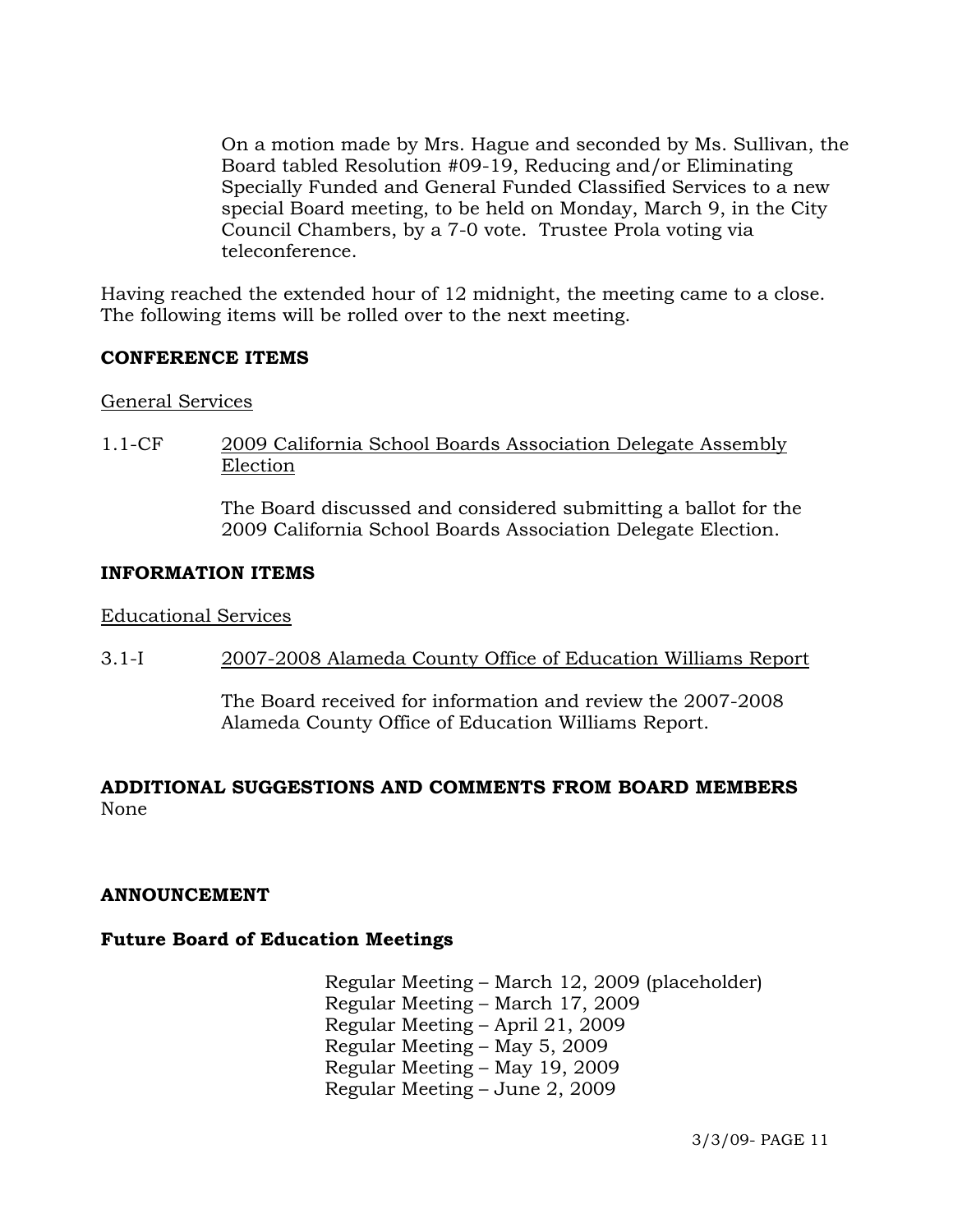On a motion made by Mrs. Hague and seconded by Ms. Sullivan, the Board tabled Resolution #09-19, Reducing and/or Eliminating Specially Funded and General Funded Classified Services to a new special Board meeting, to be held on Monday, March 9, in the City Council Chambers, by a 7-0 vote. Trustee Prola voting via teleconference.

Having reached the extended hour of 12 midnight, the meeting came to a close. The following items will be rolled over to the next meeting.

### **CONFERENCE ITEMS**

### General Services

1.1-CF 2009 California School Boards Association Delegate Assembly Election

> The Board discussed and considered submitting a ballot for the 2009 California School Boards Association Delegate Election.

#### **INFORMATION ITEMS**

#### Educational Services

3.1-I 2007-2008 Alameda County Office of Education Williams Report

The Board received for information and review the 2007-2008 Alameda County Office of Education Williams Report.

### **ADDITIONAL SUGGESTIONS AND COMMENTS FROM BOARD MEMBERS**  None

#### **ANNOUNCEMENT**

#### **Future Board of Education Meetings**

Regular Meeting – March 12, 2009 (placeholder) Regular Meeting – March 17, 2009 Regular Meeting – April 21, 2009 Regular Meeting – May 5, 2009 Regular Meeting – May 19, 2009 Regular Meeting – June 2, 2009